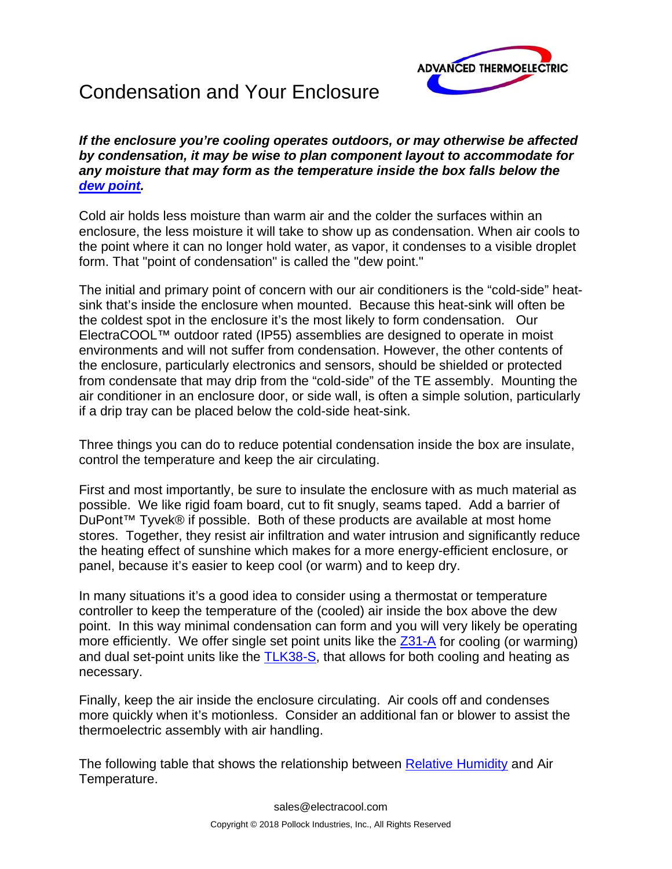

## Condensation and Your Enclosure

*If the enclosure you're cooling operates outdoors, or may otherwise be affected by condensation, it may be wise to plan component layout to accommodate for any moisture that may form as the temperature inside the box falls below the [dew point.](http://en.wikipedia.org/wiki/Dewpoint)* 

Cold air holds less moisture than warm air and the colder the surfaces within an enclosure, the less moisture it will take to show up as condensation. When air cools to the point where it can no longer hold water, as vapor, it condenses to a visible droplet form. That "point of condensation" is called the "dew point."

The initial and primary point of concern with our air conditioners is the "cold-side" heatsink that's inside the enclosure when mounted. Because this heat-sink will often be the coldest spot in the enclosure it's the most likely to form condensation. Our ElectraCOOL™ outdoor rated (IP55) assemblies are designed to operate in moist environments and will not suffer from condensation. However, the other contents of the enclosure, particularly electronics and sensors, should be shielded or protected from condensate that may drip from the "cold-side" of the TE assembly. Mounting the air conditioner in an enclosure door, or side wall, is often a simple solution, particularly if a drip tray can be placed below the cold-side heat-sink.

Three things you can do to reduce potential condensation inside the box are insulate, control the temperature and keep the air circulating.

First and most importantly, be sure to insulate the enclosure with as much material as possible. We like rigid foam board, cut to fit snugly, seams taped. Add a barrier of DuPont™ Tyvek® if possible. Both of these products are available at most home stores. Together, they resist air infiltration and water intrusion and significantly reduce the heating effect of sunshine which makes for a more energy-efficient enclosure, or panel, because it's easier to keep cool (or warm) and to keep dry.

In many situations it's a good idea to consider using a thermostat or temperature controller to keep the temperature of the (cooled) air inside the box above the dew point. In this way minimal condensation can form and you will very likely be operating more efficiently. We offer single set point units like t[he Z31-A fo](https://www.electracool.com/Z31A.html)r cooling (or warming) and dual set-point units like t[he TLK38-S, th](https://www.electracool.com/TLK38S.html)at allows for both cooling and heating as necessary.

Finally, keep the air inside the enclosure circulating. Air cools off and condenses more quickly when it's motionless. Consider an additional fan or blower to assist the thermoelectric assembly with air handling.

The following table that shows the relationship betwe[en Relative Humidity an](http://en.wikipedia.org/wiki/Relative_humidity)d Air Temperature.